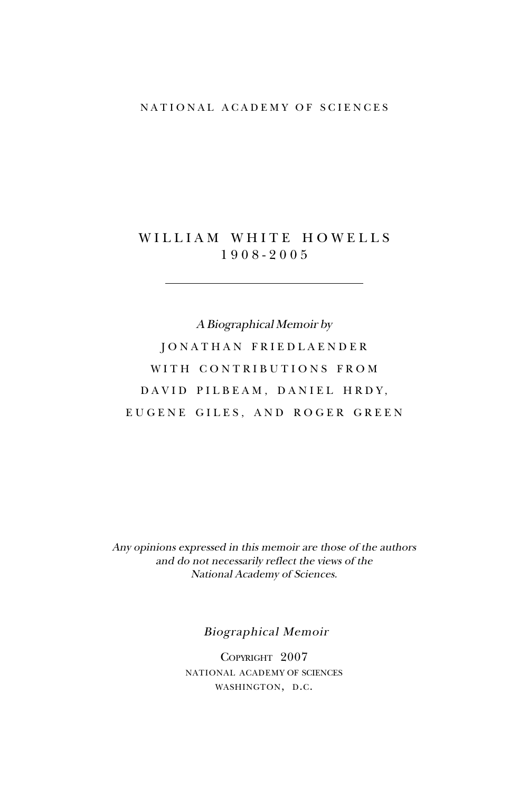## NATIONAL ACADEMY OF SCIENCES

## WILLIAM WHITE HOWELLS 1908-2005

A Biographical Memoir by JONATHAN FRIEDLAENDER WITH CONTRIBUTIONS FROM DAVID PILBEAM, DANIEL HRDY, EUGENE GILES, AND ROGER GREEN

Any opinions expressed in this memoir are those of the authors and do not necessarily reflect the views of the National Academy of Sciences.

Biographical Memoir

COPYRIGHT 2007 NATIONAL ACADEMY OF SCIENCES WASHINGTON, D.C.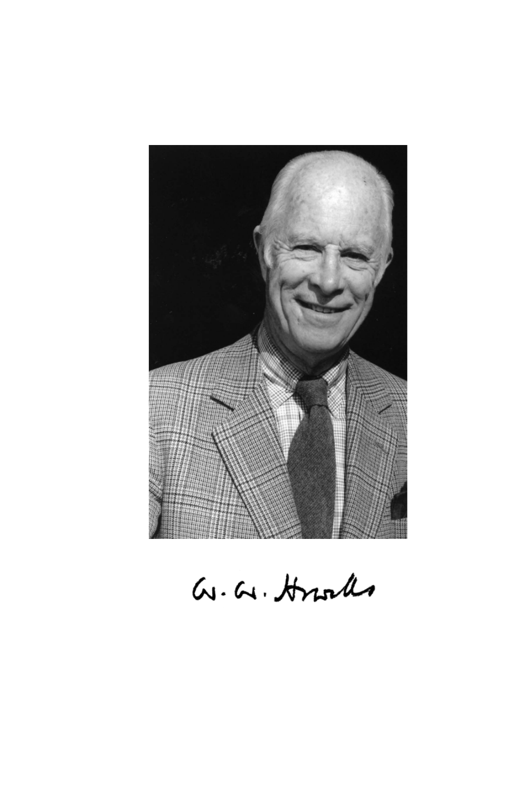

G.G. Hroles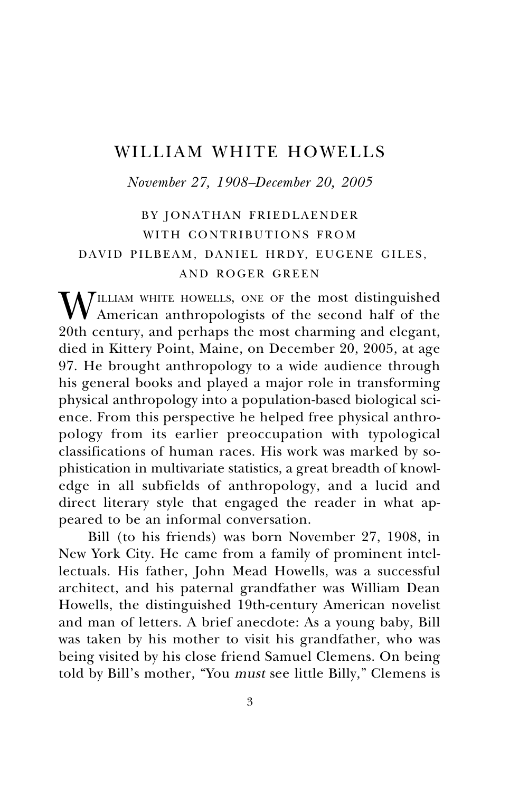# WILLIAM WHITE HOWELLS

*November 27, 1908–December 20, 2005*

# BY JONATHAN FRIEDLAENDER WITH CONTRIBUTIONS FROM DAVID PILBEAM, DANIEL HRDY, EUGENE GILES, AND ROGER GREEN

WILLIAM WHITE HOWELLS, ONE OF the most distinguished<br>American anthropologists of the second half of the<br>20th century and newbors the most chaming and classes 20th century, and perhaps the most charming and elegant, died in Kittery Point, Maine, on December 20, 2005, at age 97. He brought anthropology to a wide audience through his general books and played a major role in transforming physical anthropology into a population-based biological science. From this perspective he helped free physical anthropology from its earlier preoccupation with typological classifications of human races. His work was marked by sophistication in multivariate statistics, a great breadth of knowledge in all subfields of anthropology, and a lucid and direct literary style that engaged the reader in what appeared to be an informal conversation.

Bill (to his friends) was born November 27, 1908, in New York City. He came from a family of prominent intellectuals. His father, John Mead Howells, was a successful architect, and his paternal grandfather was William Dean Howells, the distinguished 19th-century American novelist and man of letters. A brief anecdote: As a young baby, Bill was taken by his mother to visit his grandfather, who was being visited by his close friend Samuel Clemens. On being told by Bill's mother, "You must see little Billy," Clemens is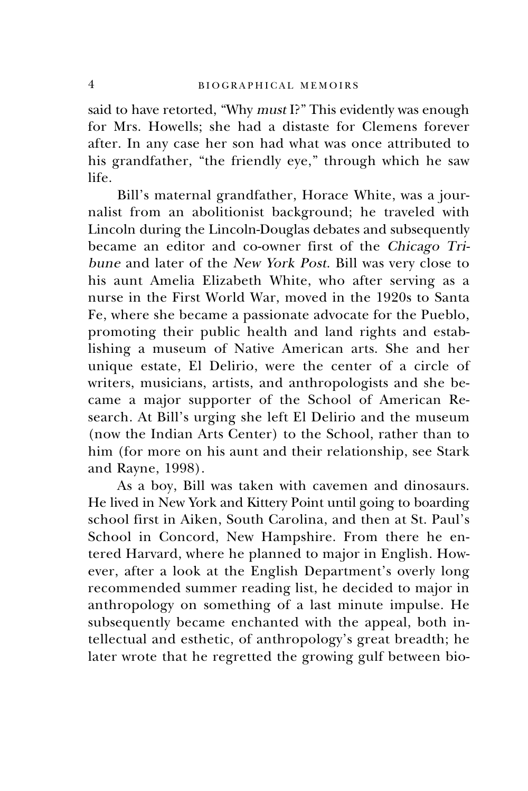said to have retorted, "Why must I?" This evidently was enough for Mrs. Howells; she had a distaste for Clemens forever after. In any case her son had what was once attributed to his grandfather, "the friendly eye," through which he saw life.

Bill's maternal grandfather, Horace White, was a journalist from an abolitionist background; he traveled with Lincoln during the Lincoln-Douglas debates and subsequently became an editor and co-owner first of the Chicago Tribune and later of the New York Post. Bill was very close to his aunt Amelia Elizabeth White, who after serving as a nurse in the First World War, moved in the 1920s to Santa Fe, where she became a passionate advocate for the Pueblo, promoting their public health and land rights and establishing a museum of Native American arts. She and her unique estate, El Delirio, were the center of a circle of writers, musicians, artists, and anthropologists and she became a major supporter of the School of American Research. At Bill's urging she left El Delirio and the museum (now the Indian Arts Center) to the School, rather than to him (for more on his aunt and their relationship, see Stark and Rayne, 1998).

As a boy, Bill was taken with cavemen and dinosaurs. He lived in New York and Kittery Point until going to boarding school first in Aiken, South Carolina, and then at St. Paul's School in Concord, New Hampshire. From there he entered Harvard, where he planned to major in English. However, after a look at the English Department's overly long recommended summer reading list, he decided to major in anthropology on something of a last minute impulse. He subsequently became enchanted with the appeal, both intellectual and esthetic, of anthropology's great breadth; he later wrote that he regretted the growing gulf between bio-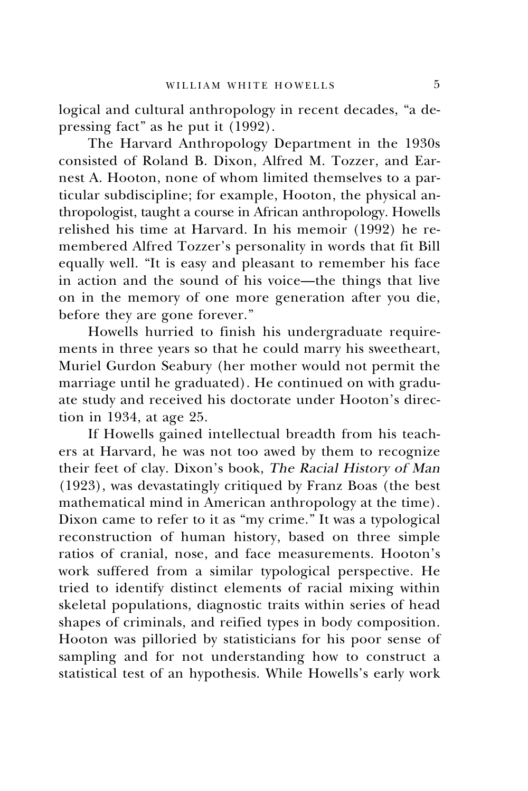logical and cultural anthropology in recent decades, "a depressing fact" as he put it (1992).

The Harvard Anthropology Department in the 1930s consisted of Roland B. Dixon, Alfred M. Tozzer, and Earnest A. Hooton, none of whom limited themselves to a particular subdiscipline; for example, Hooton, the physical anthropologist, taught a course in African anthropology. Howells relished his time at Harvard. In his memoir (1992) he remembered Alfred Tozzer's personality in words that fit Bill equally well. "It is easy and pleasant to remember his face in action and the sound of his voice—the things that live on in the memory of one more generation after you die, before they are gone forever."

Howells hurried to finish his undergraduate requirements in three years so that he could marry his sweetheart, Muriel Gurdon Seabury (her mother would not permit the marriage until he graduated). He continued on with graduate study and received his doctorate under Hooton's direction in 1934, at age 25.

If Howells gained intellectual breadth from his teachers at Harvard, he was not too awed by them to recognize their feet of clay. Dixon's book, The Racial History of Man (1923), was devastatingly critiqued by Franz Boas (the best mathematical mind in American anthropology at the time). Dixon came to refer to it as "my crime." It was a typological reconstruction of human history, based on three simple ratios of cranial, nose, and face measurements. Hooton's work suffered from a similar typological perspective. He tried to identify distinct elements of racial mixing within skeletal populations, diagnostic traits within series of head shapes of criminals, and reified types in body composition. Hooton was pilloried by statisticians for his poor sense of sampling and for not understanding how to construct a statistical test of an hypothesis. While Howells's early work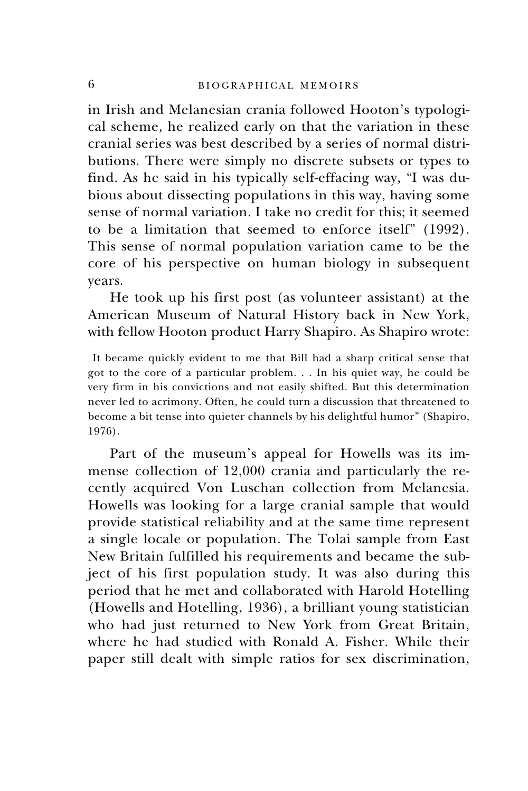in Irish and Melanesian crania followed Hooton's typological scheme, he realized early on that the variation in these cranial series was best described by a series of normal distributions. There were simply no discrete subsets or types to find. As he said in his typically self-effacing way, "I was dubious about dissecting populations in this way, having some sense of normal variation. I take no credit for this; it seemed to be a limitation that seemed to enforce itself" (1992). This sense of normal population variation came to be the core of his perspective on human biology in subsequent years.

He took up his first post (as volunteer assistant) at the American Museum of Natural History back in New York, with fellow Hooton product Harry Shapiro. As Shapiro wrote:

 It became quickly evident to me that Bill had a sharp critical sense that got to the core of a particular problem. . . In his quiet way, he could be very firm in his convictions and not easily shifted. But this determination never led to acrimony. Often, he could turn a discussion that threatened to become a bit tense into quieter channels by his delightful humor" (Shapiro, 1976).

Part of the museum's appeal for Howells was its immense collection of 12,000 crania and particularly the recently acquired Von Luschan collection from Melanesia. Howells was looking for a large cranial sample that would provide statistical reliability and at the same time represent a single locale or population. The Tolai sample from East New Britain fulfilled his requirements and became the subject of his first population study. It was also during this period that he met and collaborated with Harold Hotelling (Howells and Hotelling, 1936), a brilliant young statistician who had just returned to New York from Great Britain, where he had studied with Ronald A. Fisher. While their paper still dealt with simple ratios for sex discrimination,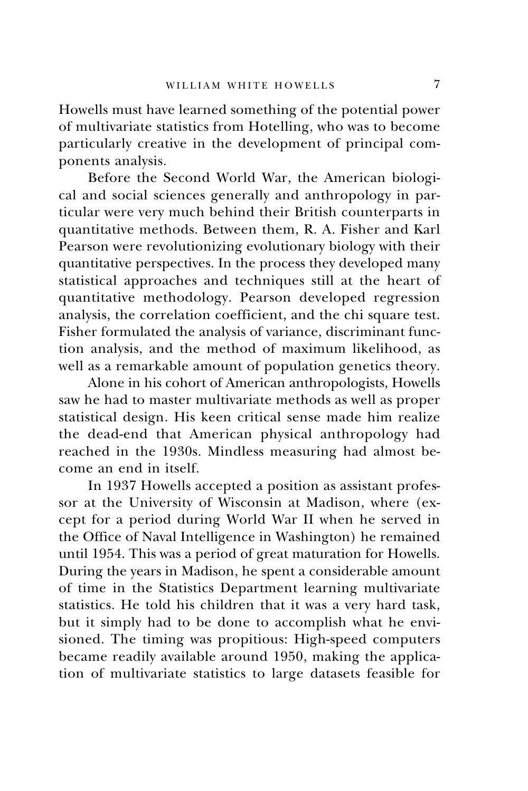Howells must have learned something of the potential power of multivariate statistics from Hotelling, who was to become particularly creative in the development of principal components analysis.

Before the Second World War, the American biological and social sciences generally and anthropology in particular were very much behind their British counterparts in quantitative methods. Between them, R. A. Fisher and Karl Pearson were revolutionizing evolutionary biology with their quantitative perspectives. In the process they developed many statistical approaches and techniques still at the heart of quantitative methodology. Pearson developed regression analysis, the correlation coefficient, and the chi square test. Fisher formulated the analysis of variance, discriminant function analysis, and the method of maximum likelihood, as well as a remarkable amount of population genetics theory.

Alone in his cohort of American anthropologists, Howells saw he had to master multivariate methods as well as proper statistical design. His keen critical sense made him realize the dead-end that American physical anthropology had reached in the 1930s. Mindless measuring had almost become an end in itself.

In 1937 Howells accepted a position as assistant professor at the University of Wisconsin at Madison, where (except for a period during World War II when he served in the Office of Naval Intelligence in Washington) he remained until 1954. This was a period of great maturation for Howells. During the years in Madison, he spent a considerable amount of time in the Statistics Department learning multivariate statistics. He told his children that it was a very hard task, but it simply had to be done to accomplish what he envisioned. The timing was propitious: High-speed computers became readily available around 1950, making the application of multivariate statistics to large datasets feasible for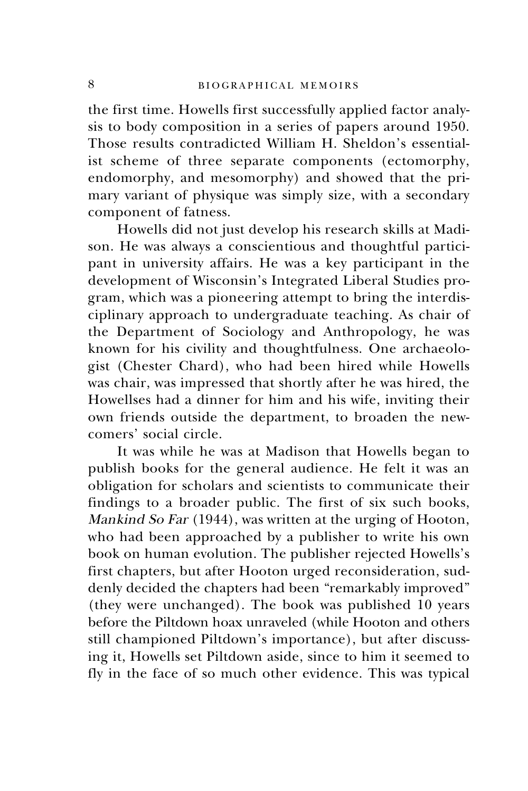the first time. Howells first successfully applied factor analysis to body composition in a series of papers around 1950. Those results contradicted William H. Sheldon's essentialist scheme of three separate components (ectomorphy, endomorphy, and mesomorphy) and showed that the primary variant of physique was simply size, with a secondary component of fatness.

Howells did not just develop his research skills at Madison. He was always a conscientious and thoughtful participant in university affairs. He was a key participant in the development of Wisconsin's Integrated Liberal Studies program, which was a pioneering attempt to bring the interdisciplinary approach to undergraduate teaching. As chair of the Department of Sociology and Anthropology, he was known for his civility and thoughtfulness. One archaeologist (Chester Chard), who had been hired while Howells was chair, was impressed that shortly after he was hired, the Howellses had a dinner for him and his wife, inviting their own friends outside the department, to broaden the newcomers' social circle.

It was while he was at Madison that Howells began to publish books for the general audience. He felt it was an obligation for scholars and scientists to communicate their findings to a broader public. The first of six such books, Mankind So Far (1944), was written at the urging of Hooton, who had been approached by a publisher to write his own book on human evolution. The publisher rejected Howells's first chapters, but after Hooton urged reconsideration, suddenly decided the chapters had been "remarkably improved" (they were unchanged). The book was published 10 years before the Piltdown hoax unraveled (while Hooton and others still championed Piltdown's importance), but after discussing it, Howells set Piltdown aside, since to him it seemed to fly in the face of so much other evidence. This was typical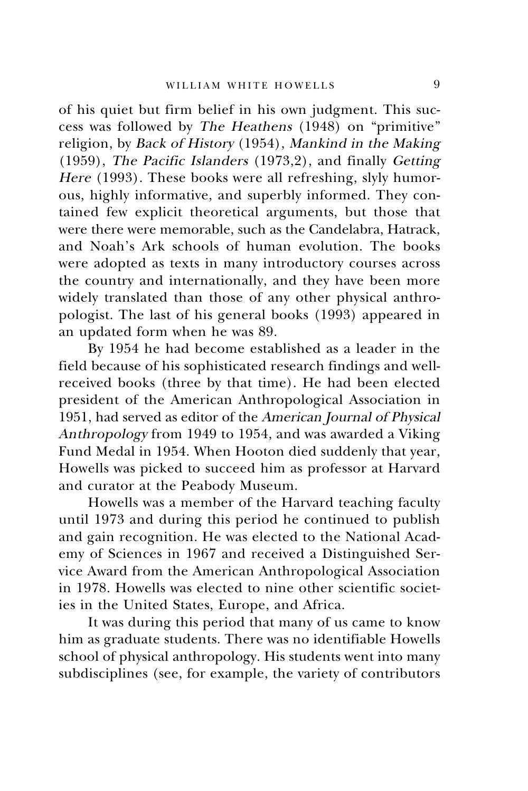of his quiet but firm belief in his own judgment. This success was followed by The Heathens (1948) on "primitive" religion, by Back of History (1954), Mankind in the Making (1959), The Pacific Islanders (1973,2), and finally Getting Here (1993). These books were all refreshing, slyly humorous, highly informative, and superbly informed. They contained few explicit theoretical arguments, but those that were there were memorable, such as the Candelabra, Hatrack, and Noah's Ark schools of human evolution. The books were adopted as texts in many introductory courses across the country and internationally, and they have been more widely translated than those of any other physical anthropologist. The last of his general books (1993) appeared in an updated form when he was 89.

By 1954 he had become established as a leader in the field because of his sophisticated research findings and wellreceived books (three by that time). He had been elected president of the American Anthropological Association in 1951, had served as editor of the American Journal of Physical Anthropology from 1949 to 1954, and was awarded a Viking Fund Medal in 1954. When Hooton died suddenly that year, Howells was picked to succeed him as professor at Harvard and curator at the Peabody Museum.

Howells was a member of the Harvard teaching faculty until 1973 and during this period he continued to publish and gain recognition. He was elected to the National Academy of Sciences in 1967 and received a Distinguished Service Award from the American Anthropological Association in 1978. Howells was elected to nine other scientific societies in the United States, Europe, and Africa.

It was during this period that many of us came to know him as graduate students. There was no identifiable Howells school of physical anthropology. His students went into many subdisciplines (see, for example, the variety of contributors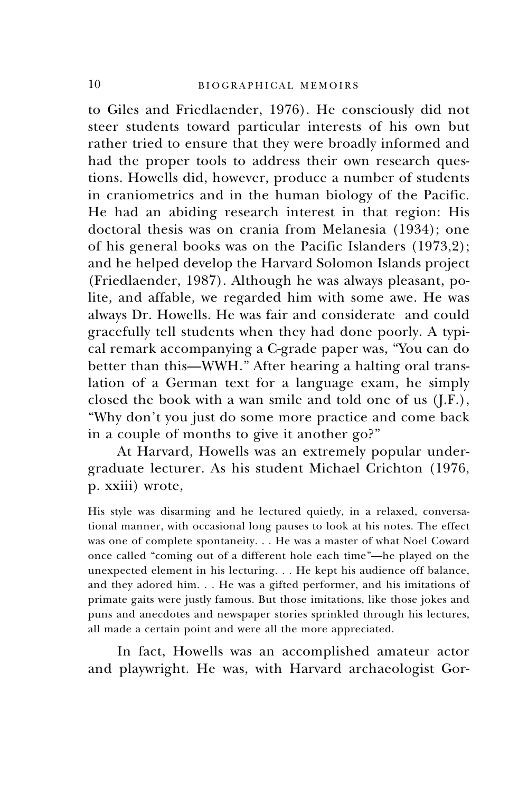to Giles and Friedlaender, 1976). He consciously did not steer students toward particular interests of his own but rather tried to ensure that they were broadly informed and had the proper tools to address their own research questions. Howells did, however, produce a number of students in craniometrics and in the human biology of the Pacific. He had an abiding research interest in that region: His doctoral thesis was on crania from Melanesia (1934); one of his general books was on the Pacific Islanders (1973,2); and he helped develop the Harvard Solomon Islands project (Friedlaender, 1987). Although he was always pleasant, polite, and affable, we regarded him with some awe. He was always Dr. Howells. He was fair and considerate and could gracefully tell students when they had done poorly. A typical remark accompanying a C-grade paper was, "You can do better than this—WWH." After hearing a halting oral translation of a German text for a language exam, he simply closed the book with a wan smile and told one of us (J.F.), "Why don't you just do some more practice and come back in a couple of months to give it another go?"

At Harvard, Howells was an extremely popular undergraduate lecturer. As his student Michael Crichton (1976, p. xxiii) wrote,

His style was disarming and he lectured quietly, in a relaxed, conversational manner, with occasional long pauses to look at his notes. The effect was one of complete spontaneity. . . He was a master of what Noel Coward once called "coming out of a different hole each time"—he played on the unexpected element in his lecturing. . . He kept his audience off balance, and they adored him. . . He was a gifted performer, and his imitations of primate gaits were justly famous. But those imitations, like those jokes and puns and anecdotes and newspaper stories sprinkled through his lectures, all made a certain point and were all the more appreciated.

In fact, Howells was an accomplished amateur actor and playwright. He was, with Harvard archaeologist Gor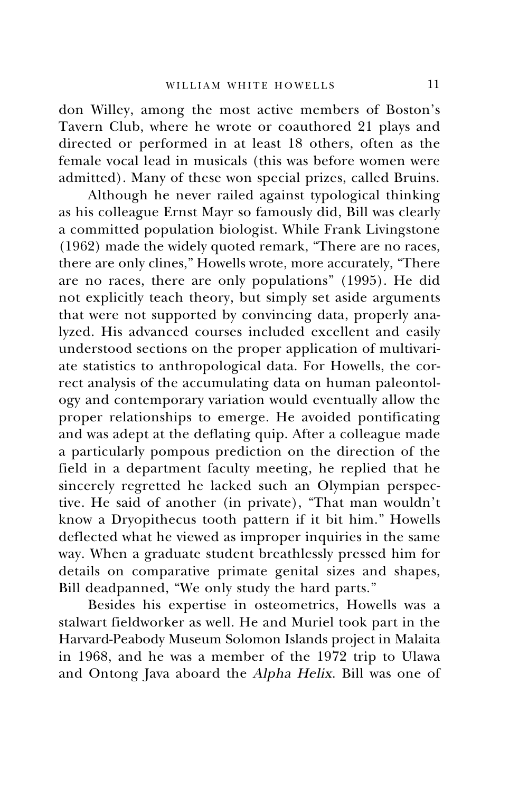don Willey, among the most active members of Boston's Tavern Club, where he wrote or coauthored 21 plays and directed or performed in at least 18 others, often as the female vocal lead in musicals (this was before women were admitted). Many of these won special prizes, called Bruins.

Although he never railed against typological thinking as his colleague Ernst Mayr so famously did, Bill was clearly a committed population biologist. While Frank Livingstone (1962) made the widely quoted remark, "There are no races, there are only clines," Howells wrote, more accurately, "There are no races, there are only populations" (1995). He did not explicitly teach theory, but simply set aside arguments that were not supported by convincing data, properly analyzed. His advanced courses included excellent and easily understood sections on the proper application of multivariate statistics to anthropological data. For Howells, the correct analysis of the accumulating data on human paleontology and contemporary variation would eventually allow the proper relationships to emerge. He avoided pontificating and was adept at the deflating quip. After a colleague made a particularly pompous prediction on the direction of the field in a department faculty meeting, he replied that he sincerely regretted he lacked such an Olympian perspective. He said of another (in private), "That man wouldn't know a Dryopithecus tooth pattern if it bit him." Howells deflected what he viewed as improper inquiries in the same way. When a graduate student breathlessly pressed him for details on comparative primate genital sizes and shapes, Bill deadpanned, "We only study the hard parts."

Besides his expertise in osteometrics, Howells was a stalwart fieldworker as well. He and Muriel took part in the Harvard-Peabody Museum Solomon Islands project in Malaita in 1968, and he was a member of the 1972 trip to Ulawa and Ontong Java aboard the Alpha Helix. Bill was one of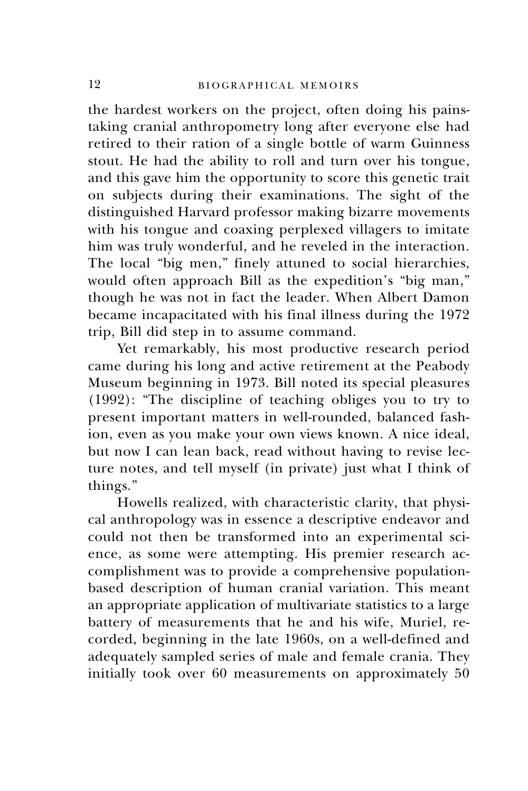the hardest workers on the project, often doing his painstaking cranial anthropometry long after everyone else had retired to their ration of a single bottle of warm Guinness stout. He had the ability to roll and turn over his tongue, and this gave him the opportunity to score this genetic trait on subjects during their examinations. The sight of the distinguished Harvard professor making bizarre movements with his tongue and coaxing perplexed villagers to imitate him was truly wonderful, and he reveled in the interaction. The local "big men," finely attuned to social hierarchies, would often approach Bill as the expedition's "big man," though he was not in fact the leader. When Albert Damon became incapacitated with his final illness during the 1972 trip, Bill did step in to assume command.

Yet remarkably, his most productive research period came during his long and active retirement at the Peabody Museum beginning in 1973. Bill noted its special pleasures (1992): "The discipline of teaching obliges you to try to present important matters in well-rounded, balanced fashion, even as you make your own views known. A nice ideal, but now I can lean back, read without having to revise lecture notes, and tell myself (in private) just what I think of things."

Howells realized, with characteristic clarity, that physical anthropology was in essence a descriptive endeavor and could not then be transformed into an experimental science, as some were attempting. His premier research accomplishment was to provide a comprehensive populationbased description of human cranial variation. This meant an appropriate application of multivariate statistics to a large battery of measurements that he and his wife, Muriel, recorded, beginning in the late 1960s, on a well-defined and adequately sampled series of male and female crania. They initially took over 60 measurements on approximately 50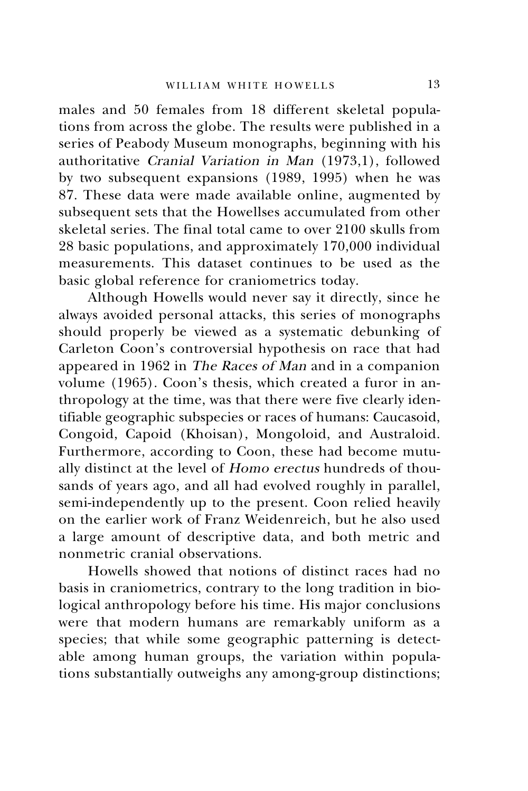males and 50 females from 18 different skeletal populations from across the globe. The results were published in a series of Peabody Museum monographs, beginning with his authoritative Cranial Variation in Man (1973,1), followed by two subsequent expansions (1989, 1995) when he was 87. These data were made available online, augmented by subsequent sets that the Howellses accumulated from other skeletal series. The final total came to over 2100 skulls from 28 basic populations, and approximately 170,000 individual measurements. This dataset continues to be used as the basic global reference for craniometrics today.

Although Howells would never say it directly, since he always avoided personal attacks, this series of monographs should properly be viewed as a systematic debunking of Carleton Coon's controversial hypothesis on race that had appeared in 1962 in The Races of Man and in a companion volume (1965). Coon's thesis, which created a furor in anthropology at the time, was that there were five clearly identifiable geographic subspecies or races of humans: Caucasoid, Congoid, Capoid (Khoisan), Mongoloid, and Australoid. Furthermore, according to Coon, these had become mutually distinct at the level of Homo erectus hundreds of thousands of years ago, and all had evolved roughly in parallel, semi-independently up to the present. Coon relied heavily on the earlier work of Franz Weidenreich, but he also used a large amount of descriptive data, and both metric and nonmetric cranial observations.

Howells showed that notions of distinct races had no basis in craniometrics, contrary to the long tradition in biological anthropology before his time. His major conclusions were that modern humans are remarkably uniform as a species; that while some geographic patterning is detectable among human groups, the variation within populations substantially outweighs any among-group distinctions;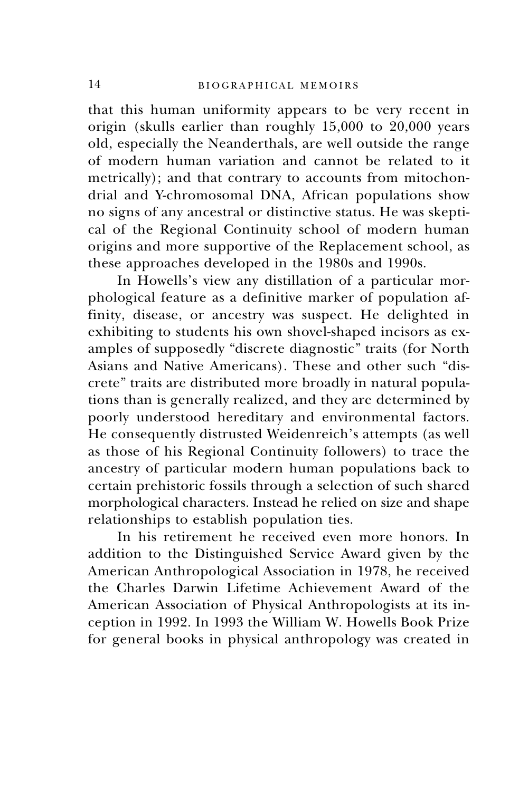that this human uniformity appears to be very recent in origin (skulls earlier than roughly 15,000 to 20,000 years old, especially the Neanderthals, are well outside the range of modern human variation and cannot be related to it metrically); and that contrary to accounts from mitochondrial and Y-chromosomal DNA, African populations show no signs of any ancestral or distinctive status. He was skeptical of the Regional Continuity school of modern human origins and more supportive of the Replacement school, as these approaches developed in the 1980s and 1990s.

In Howells's view any distillation of a particular morphological feature as a definitive marker of population affinity, disease, or ancestry was suspect. He delighted in exhibiting to students his own shovel-shaped incisors as examples of supposedly "discrete diagnostic" traits (for North Asians and Native Americans). These and other such "discrete" traits are distributed more broadly in natural populations than is generally realized, and they are determined by poorly understood hereditary and environmental factors. He consequently distrusted Weidenreich's attempts (as well as those of his Regional Continuity followers) to trace the ancestry of particular modern human populations back to certain prehistoric fossils through a selection of such shared morphological characters. Instead he relied on size and shape relationships to establish population ties.

In his retirement he received even more honors. In addition to the Distinguished Service Award given by the American Anthropological Association in 1978, he received the Charles Darwin Lifetime Achievement Award of the American Association of Physical Anthropologists at its inception in 1992. In 1993 the William W. Howells Book Prize for general books in physical anthropology was created in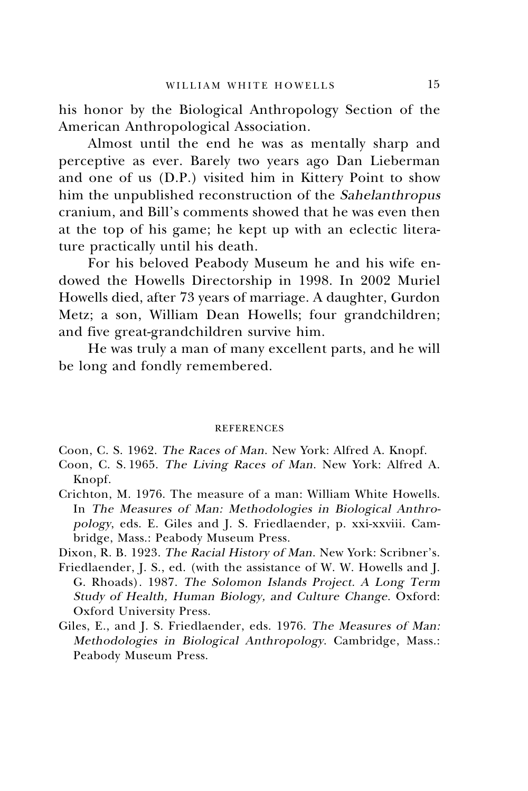his honor by the Biological Anthropology Section of the American Anthropological Association.

Almost until the end he was as mentally sharp and perceptive as ever. Barely two years ago Dan Lieberman and one of us (D.P.) visited him in Kittery Point to show him the unpublished reconstruction of the Sahelanthropus cranium, and Bill's comments showed that he was even then at the top of his game; he kept up with an eclectic literature practically until his death.

For his beloved Peabody Museum he and his wife endowed the Howells Directorship in 1998. In 2002 Muriel Howells died, after 73 years of marriage. A daughter, Gurdon Metz; a son, William Dean Howells; four grandchildren; and five great-grandchildren survive him.

He was truly a man of many excellent parts, and he will be long and fondly remembered.

#### **REFERENCES**

Coon, C. S. 1962. The Races of Man. New York: Alfred A. Knopf.

- Coon, C. S. 1965. The Living Races of Man. New York: Alfred A. Knopf.
- Crichton, M. 1976. The measure of a man: William White Howells. In The Measures of Man: Methodologies in Biological Anthropology, eds. E. Giles and J. S. Friedlaender, p. xxi-xxviii. Cambridge, Mass.: Peabody Museum Press.
- Dixon, R. B. 1923. The Racial History of Man. New York: Scribner's.
- Friedlaender, J. S., ed. (with the assistance of W. W. Howells and J. G. Rhoads). 1987. The Solomon Islands Project. A Long Term Study of Health, Human Biology, and Culture Change. Oxford: Oxford University Press.
- Giles, E., and J. S. Friedlaender, eds. 1976. The Measures of Man: Methodologies in Biological Anthropology. Cambridge, Mass.: Peabody Museum Press.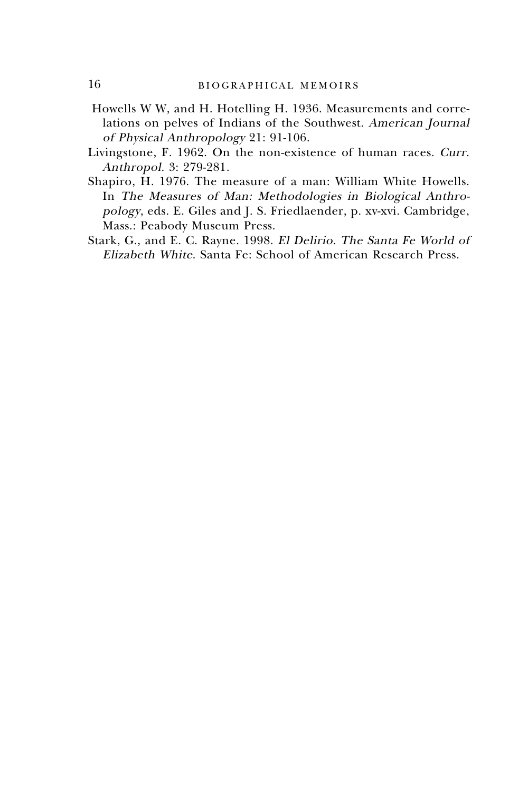- Howells W W, and H. Hotelling H. 1936. Measurements and correlations on pelves of Indians of the Southwest. American Journal of Physical Anthropology 21: 91-106.
- Livingstone, F. 1962. On the non-existence of human races. Curr. Anthropol. 3: 279-281.
- Shapiro, H. 1976. The measure of a man: William White Howells. In The Measures of Man: Methodologies in Biological Anthropology, eds. E. Giles and J. S. Friedlaender, p. xv-xvi. Cambridge, Mass.: Peabody Museum Press.
- Stark, G., and E. C. Rayne. 1998. El Delirio. The Santa Fe World of Elizabeth White. Santa Fe: School of American Research Press.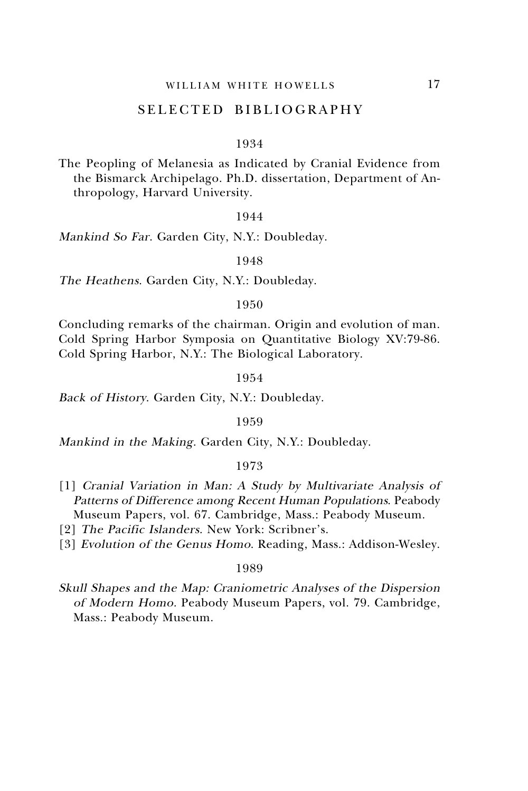### SELECTED BIBLIOGRAPHY

#### 1934

The Peopling of Melanesia as Indicated by Cranial Evidence from the Bismarck Archipelago. Ph.D. dissertation, Department of Anthropology, Harvard University.

#### 1944

Mankind So Far. Garden City, N.Y.: Doubleday.

#### 1948

The Heathens. Garden City, N.Y.: Doubleday.

#### 1950

Concluding remarks of the chairman. Origin and evolution of man. Cold Spring Harbor Symposia on Quantitative Biology XV:79-86. Cold Spring Harbor, N.Y.: The Biological Laboratory.

#### 1954

Back of History. Garden City, N.Y.: Doubleday.

#### 1959

Mankind in the Making. Garden City, N.Y.: Doubleday.

#### 1973

- [1] Cranial Variation in Man: A Study by Multivariate Analysis of Patterns of Difference among Recent Human Populations. Peabody Museum Papers, vol. 67. Cambridge, Mass.: Peabody Museum.
- [2] The Pacific Islanders. New York: Scribner's.
- [3] Evolution of the Genus Homo. Reading, Mass.: Addison-Wesley.

#### 1989

Skull Shapes and the Map: Craniometric Analyses of the Dispersion of Modern Homo. Peabody Museum Papers, vol. 79. Cambridge, Mass.: Peabody Museum.